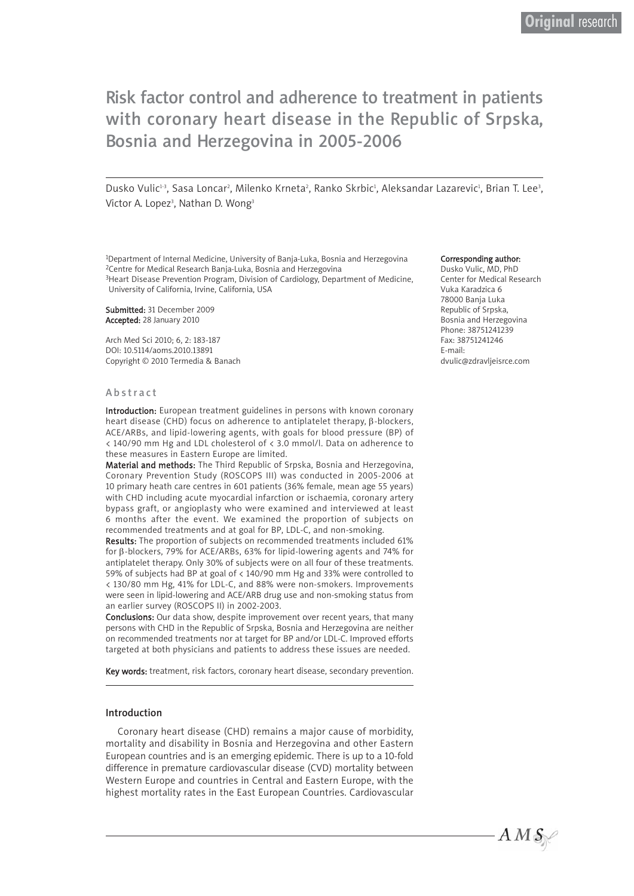# Risk factor control and adherence to treatment in patients with coronary heart disease in the Republic of Srpska, Bosnia and Herzegovina in 2005-2006

Dusko Vulic $^{\text{13}}$ , Sasa Loncar<sup>2</sup>, Milenko Krneta<sup>2</sup>, Ranko Skrbic<sup>1</sup>, Aleksandar Lazarevic<sup>1</sup>, Brian T. Lee<sup>3</sup>, Victor A. Lopez<sup>3</sup>, Nathan D. Wong<sup>3</sup>

1Department of Internal Medicine, University of Banja-Luka, Bosnia and Herzegovina 2Centre for Medical Research Banja-Luka, Bosnia and Herzegovina 3Heart Disease Prevention Program, Division of Cardiology, Department of Medicine,

University of California, Irvine, California, USA

Submitted: 31 December 2009 Accepted: 28 January 2010

Arch Med Sci 2010; 6, 2: 183-187 DOI: 10.5114/aoms.2010.13891 Copyright © 2010 Termedia & Banach

#### Abstract

Introduction: European treatment guidelines in persons with known coronary heart disease (CHD) focus on adherence to antiplatelet therapy, β-blockers, ACE/ARBs, and lipid-lowering agents, with goals for blood pressure (BP) of < 140/90 mm Hg and LDL cholesterol of < 3.0 mmol/l. Data on adherence to these measures in Eastern Europe are limited.

Material and methods: The Third Republic of Srpska, Bosnia and Herzegovina, Coronary Prevention Study (ROSCOPS III) was conducted in 2005-2006 at 10 primary heath care centres in 601 patients (36% female, mean age 55 years) with CHD including acute myocardial infarction or ischaemia, coronary artery bypass graft, or angioplasty who were examined and interviewed at least 6 months after the event. We examined the proportion of subjects on recommended treatments and at goal for BP, LDL-C, and non-smoking.

Results: The proportion of subjects on recommended treatments included 61% for β-blockers, 79% for ACE/ARBs, 63% for lipid-lowering agents and 74% for antiplatelet therapy. Only 30% of subjects were on all four of these treatments. 59% of subjects had BP at goal of < 140/90 mm Hg and 33% were controlled to < 130/80 mm Hg, 41% for LDL-C, and 88% were non-smokers. Improvements were seen in lipid-lowering and ACE/ARB drug use and non-smoking status from an earlier survey (ROSCOPS II) in 2002-2003.

Conclusions: Our data show, despite improvement over recent years, that many persons with CHD in the Republic of Srpska, Bosnia and Herzegovina are neither on recommended treatments nor at target for BP and/or LDL-C. Improved efforts targeted at both physicians and patients to address these issues are needed.

Key words: treatment, risk factors, coronary heart disease, secondary prevention.

#### Introduction

Coronary heart disease (CHD) remains a major cause of morbidity, mortality and disability in Bosnia and Herzegovina and other Eastern European countries and is an emerging epidemic. There is up to a 10-fold difference in premature cardiovascular disease (CVD) mortality between Western Europe and countries in Central and Eastern Europe, with the highest mortality rates in the East European Countries. Cardiovascular

#### Corresponding author:

Dusko Vulic, MD, PhD Center for Medical Research Vuka Karadzica 6 78000 Banja Luka Republic of Srpska, Bosnia and Herzegovina Phone: 38751241239 Fax: 38751241246 E-mail: dvulic@zdravljeisrce.com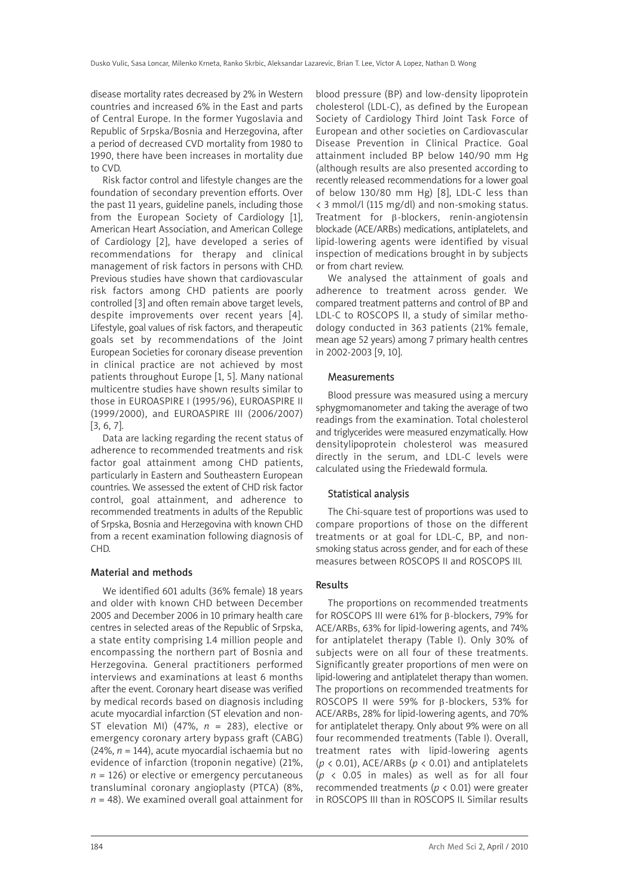disease mortality rates decreased by 2% in Western countries and increased 6% in the East and parts of Central Europe. In the former Yugoslavia and Republic of Srpska/Bosnia and Herzegovina, after a period of decreased CVD mortality from 1980 to 1990, there have been increases in mortality due to CVD.

Risk factor control and lifestyle changes are the foundation of secondary prevention efforts. Over the past 11 years, guideline panels, including those from the European Society of Cardiology [1], American Heart Association, and American College of Cardiology [2], have developed a series of recommendations for therapy and clinical management of risk factors in persons with CHD. Previous studies have shown that cardiovascular risk factors among CHD patients are poorly controlled [3] and often remain above target levels, despite improvements over recent years [4]. Lifestyle, goal values of risk factors, and therapeutic goals set by recommendations of the Joint European Societies for coronary disease prevention in clinical practice are not achieved by most patients throughout Europe [1, 5]. Many national multicentre studies have shown results similar to those in EUROASPIRE I (1995/96), EUROASPIRE II (1999/2000), and EUROASPIRE III (2006/2007) [3, 6, 7].

Data are lacking regarding the recent status of adherence to recommended treatments and risk factor goal attainment among CHD patients, particularly in Eastern and Southeastern European countries. We assessed the extent of CHD risk factor control, goal attainment, and adherence to recommended treatments in adults of the Republic of Srpska, Bosnia and Herzegovina with known CHD from a recent examination following diagnosis of CHD.

# Material and methods

We identified 601 adults (36% female) 18 years and older with known CHD between December 2005 and December 2006 in 10 primary health care centres in selected areas of the Republic of Srpska, a state entity comprising 1.4 million people and encompassing the northern part of Bosnia and Herzegovina. General practitioners performed interviews and examinations at least 6 months after the event. Coronary heart disease was verified by medical records based on diagnosis including acute myocardial infarction (ST elevation and non-ST elevation MI) (47%, *n* = 283), elective or emergency coronary artery bypass graft (CABG) (24%, *n* = 144), acute myocardial ischaemia but no evidence of infarction (troponin negative) (21%,  $n = 126$ ) or elective or emergency percutaneous transluminal coronary angioplasty (PTCA) (8%,  $n = 48$ ). We examined overall goal attainment for

blood pressure (BP) and low-density lipoprotein cholesterol (LDL-C), as defined by the European Society of Cardiology Third Joint Task Force of European and other societies on Cardiovascular Disease Prevention in Clinical Practice. Goal attainment included BP below 140/90 mm Hg (although results are also presented according to recently released recommendations for a lower goal of below 130/80 mm Hg) [8], LDL-C less than < 3 mmol/l (115 mg/dl) and non-smoking status. Treatment for β-blockers, renin-angiotensin blockade (ACE/ARBs) medications, antiplatelets, and lipid-lowering agents were identified by visual inspection of medications brought in by subjects or from chart review.

We analysed the attainment of goals and adherence to treatment across gender. We compared treatment patterns and control of BP and LDL-C to ROSCOPS II, a study of similar methodology conducted in 363 patients (21% female, mean age 52 years) among 7 primary health centres in 2002-2003 [9, 10].

# Measurements

Blood pressure was measured using a mercury sphygmomanometer and taking the average of two readings from the examination. Total cholesterol and triglycerides were measured enzymatically. How densitylipoprotein cholesterol was measured directly in the serum, and LDL-C levels were calculated using the Friedewald formula.

# Statistical analysis

The Chi-square test of proportions was used to compare proportions of those on the different treatments or at goal for LDL-C, BP, and nonsmoking status across gender, and for each of these measures between ROSCOPS II and ROSCOPS III.

# Results

The proportions on recommended treatments for ROSCOPS III were 61% for β-blockers, 79% for ACE/ARBs, 63% for lipid-lowering agents, and 74% for antiplatelet therapy (Table I). Only 30% of subjects were on all four of these treatments. Significantly greater proportions of men were on lipid-lowering and antiplatelet therapy than women. The proportions on recommended treatments for ROSCOPS II were 59% for β-blockers, 53% for ACE/ARBs, 28% for lipid-lowering agents, and 70% for antiplatelet therapy. Only about 9% were on all four recommended treatments (Table I). Overall, treatment rates with lipid-lowering agents ( $p$  < 0.01), ACE/ARBs ( $p$  < 0.01) and antiplatelets  $(p \le 0.05$  in males) as well as for all four recommended treatments (*p* < 0.01) were greater in ROSCOPS III than in ROSCOPS II. Similar results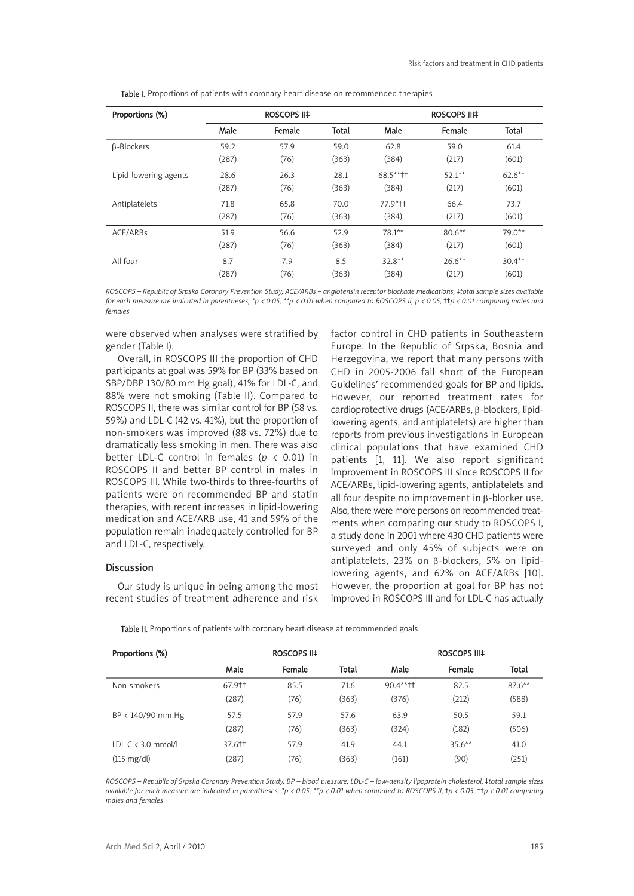| Proportions (%)       |       | <b>ROSCOPS II‡</b> |       | <b>ROSCOPS III‡</b> |           |           |  |
|-----------------------|-------|--------------------|-------|---------------------|-----------|-----------|--|
|                       | Male  | Female             | Total | Male                | Female    | Total     |  |
| $\beta$ -Blockers     | 59.2  | 57.9               | 59.0  | 62.8                | 59.0      | 61.4      |  |
|                       | (287) | (76)               | (363) | (384)               | (217)     | (601)     |  |
| Lipid-lowering agents | 28.6  | 26.3               | 28.1  | $68.5***$           | $52.1***$ | $62.6***$ |  |
|                       | (287) | (76)               | (363) | (384)               | (217)     | (601)     |  |
| Antiplatelets         | 71.8  | 65.8               | 70.0  | 77.9*††             | 66.4      | 73.7      |  |
|                       | (287) | (76)               | (363) | (384)               | (217)     | (601)     |  |
| ACE/ARBs              | 51.9  | 56.6               | 52.9  | $78.1***$           | $80.6***$ | $79.0**$  |  |
|                       | (287) | (76)               | (363) | (384)               | (217)     | (601)     |  |
| All four              | 8.7   | 7.9                | 8.5   | $32.8**$            | $26.6***$ | $30.4***$ |  |
|                       | (287) | (76)               | (363) | (384)               | (217)     | (601)     |  |

Table I. Proportions of patients with coronary heart disease on recommended therapies

*ROSCOPS – Republic of Srpska Coronary Prevention Study, ACE/ARBs – angiotensin receptor blockade medications, ‡total sample sizes available for each measure are indicated in parentheses, \*p < 0.05, \*\*p < 0.01 when compared to ROSCOPS II, p < 0.05, ††p < 0.01 comparing males and females*

were observed when analyses were stratified by gender (Table I).

Overall, in ROSCOPS III the proportion of CHD participants at goal was 59% for BP (33% based on SBP/DBP 130/80 mm Hg goal), 41% for LDL-C, and 88% were not smoking (Table II). Compared to ROSCOPS II, there was similar control for BP (58 vs. 59%) and LDL-C (42 vs. 41%), but the proportion of non-smokers was improved (88 vs. 72%) due to dramatically less smoking in men. There was also better LDL-C control in females (*p* < 0.01) in ROSCOPS II and better BP control in males in ROSCOPS III. While two-thirds to three-fourths of patients were on recommended BP and statin therapies, with recent increases in lipid-lowering medication and ACE/ARB use, 41 and 59% of the population remain inadequately controlled for BP and LDL-C, respectively.

## Discussion

Our study is unique in being among the most recent studies of treatment adherence and risk

factor control in CHD patients in Southeastern Europe. In the Republic of Srpska, Bosnia and Herzegovina, we report that many persons with CHD in 2005-2006 fall short of the European Guidelines' recommended goals for BP and lipids. However, our reported treatment rates for cardioprotective drugs (ACE/ARBs, β-blockers, lipidlowering agents, and antiplatelets) are higher than reports from previous investigations in European clinical populations that have examined CHD patients [1, 11]. We also report significant improvement in ROSCOPS III since ROSCOPS II for ACE/ARBs, lipid-lowering agents, antiplatelets and all four despite no improvement in β-blocker use. Also, there were more persons on recommended treatments when comparing our study to ROSCOPS I, a study done in 2001 where 430 CHD patients were surveyed and only 45% of subjects were on antiplatelets, 23% on β-blockers, 5% on lipidlowering agents, and 62% on ACE/ARBs [10]. However, the proportion at goal for BP has not improved in ROSCOPS III and for LDL-C has actually

|  | Table II. Proportions of patients with coronary heart disease at recommended goals |  |  |  |  |  |  |
|--|------------------------------------------------------------------------------------|--|--|--|--|--|--|
|  |                                                                                    |  |  |  |  |  |  |

| Proportions (%)        |        | <b>ROSCOPS II‡</b> |       | <b>ROSCOPS III‡</b> |           |           |
|------------------------|--------|--------------------|-------|---------------------|-----------|-----------|
|                        | Male   | Female             | Total | Male                | Female    | Total     |
| Non-smokers            | 67.9†† | 85.5               | 71.6  | $90.4***$           | 82.5      | $87.6***$ |
|                        | (287)  | (76)               | (363) | (376)               | (212)     | (588)     |
| BP < 140/90 mm Hg      | 57.5   | 57.9               | 57.6  | 63.9                | 50.5      | 59.1      |
|                        | (287)  | (76)               | (363) | (324)               | (182)     | (506)     |
| LDL-C $\lt$ 3.0 mmol/l | 37.6†† | 57.9               | 41.9  | 44.1                | $35.6***$ | 41.0      |
| $(115 \text{ mg/dl})$  | (287)  | (76)               | (363) | (161)               | (90)      | (251)     |

*ROSCOPS – Republic of Srpska Coronary Prevention Study, BP – blood pressure, LDL-C – low-density lipoprotein cholesterol, ‡total sample sizes available for each measure are indicated in parentheses, \*p < 0.05, \*\*p < 0.01 when compared to ROSCOPS II, †p < 0.05, ††p < 0.01 comparing males and females*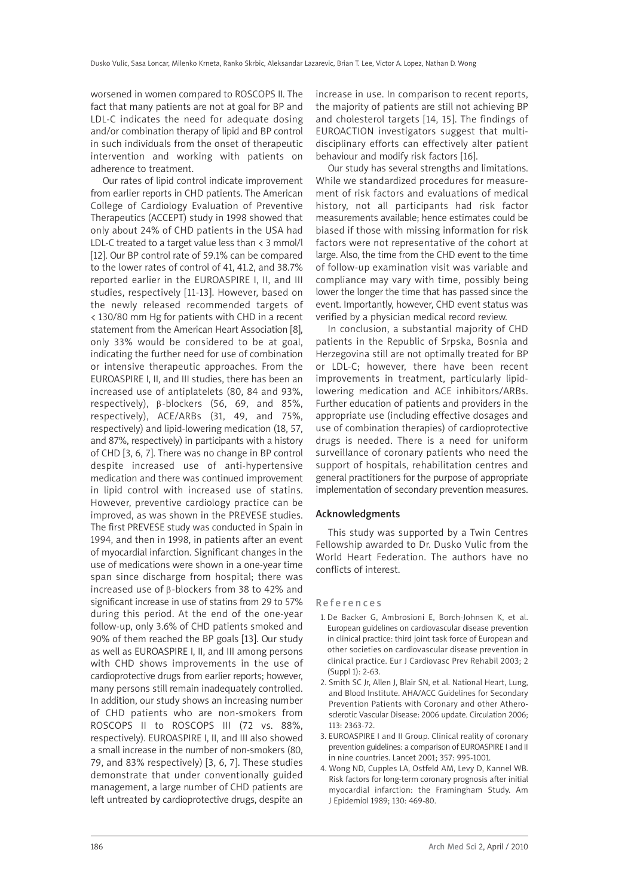worsened in women compared to ROSCOPS II. The fact that many patients are not at goal for BP and LDL-C indicates the need for adequate dosing and/or combination therapy of lipid and BP control in such individuals from the onset of therapeutic intervention and working with patients on adherence to treatment.

Our rates of lipid control indicate improvement from earlier reports in CHD patients. The American College of Cardiology Evaluation of Preventive Therapeutics (ACCEPT) study in 1998 showed that only about 24% of CHD patients in the USA had LDL-C treated to a target value less than < 3 mmol/l [12]. Our BP control rate of 59.1% can be compared to the lower rates of control of 41, 41.2, and 38.7% reported earlier in the EUROASPIRE I, II, and III studies, respectively [11-13]. However, based on the newly released recommended targets of < 130/80 mm Hg for patients with CHD in a recent statement from the American Heart Association [8], only 33% would be considered to be at goal, indicating the further need for use of combination or intensive therapeutic approaches. From the EUROASPIRE I, II, and III studies, there has been an increased use of antiplatelets (80, 84 and 93%, respectively), β-blockers (56, 69, and 85%, respectively), ACE/ARBs (31, 49, and 75%, respectively) and lipid-lowering medication (18, 57, and 87%, respectively) in participants with a history of CHD [3, 6, 7]. There was no change in BP control despite increased use of anti-hypertensive medication and there was continued improvement in lipid control with increased use of statins. However, preventive cardiology practice can be improved, as was shown in the PREVESE studies. The first PREVESE study was conducted in Spain in 1994, and then in 1998, in patients after an event of myocardial infarction. Significant changes in the use of medications were shown in a one-year time span since discharge from hospital; there was increased use of β-blockers from 38 to 42% and significant increase in use of statins from 29 to 57% during this period. At the end of the one-year follow-up, only 3.6% of CHD patients smoked and 90% of them reached the BP goals [13]. Our study as well as EUROASPIRE I, II, and III among persons with CHD shows improvements in the use of cardioprotective drugs from earlier reports; however, many persons still remain inadequately controlled. In addition, our study shows an increasing number of CHD patients who are non-smokers from ROSCOPS II to ROSCOPS III (72 vs. 88%, respectively). EUROASPIRE I, II, and III also showed a small increase in the number of non-smokers (80, 79, and 83% respectively) [3, 6, 7]. These studies demonstrate that under conventionally guided management, a large number of CHD patients are left untreated by cardioprotective drugs, despite an

increase in use. In comparison to recent reports, the majority of patients are still not achieving BP and cholesterol targets [14, 15]. The findings of EUROACTION investigators suggest that multidisciplinary efforts can effectively alter patient behaviour and modify risk factors [16].

Our study has several strengths and limitations. While we standardized procedures for measurement of risk factors and evaluations of medical history, not all participants had risk factor measurements available; hence estimates could be biased if those with missing information for risk factors were not representative of the cohort at large. Also, the time from the CHD event to the time of follow-up examination visit was variable and compliance may vary with time, possibly being lower the longer the time that has passed since the event. Importantly, however, CHD event status was verified by a physician medical record review.

In conclusion, a substantial majority of CHD patients in the Republic of Srpska, Bosnia and Herzegovina still are not optimally treated for BP or LDL-C; however, there have been recent improvements in treatment, particularly lipidlowering medication and ACE inhibitors/ARBs. Further education of patients and providers in the appropriate use (including effective dosages and use of combination therapies) of cardioprotective drugs is needed. There is a need for uniform surveillance of coronary patients who need the support of hospitals, rehabilitation centres and general practitioners for the purpose of appropriate implementation of secondary prevention measures.

## Acknowledgments

This study was supported by a Twin Centres Fellowship awarded to Dr. Dusko Vulic from the World Heart Federation. The authors have no conflicts of interest.

#### References

- 1. De Backer G, Ambrosioni E, Borch-Johnsen K, et al. European guidelines on cardiovascular disease prevention in clinical practice: third joint task force of European and other societies on cardiovascular disease prevention in clinical practice. Eur J Cardiovasc Prev Rehabil 2003; 2 (Suppl 1): 2-63.
- 2. Smith SC Jr, Allen J, Blair SN, et al. National Heart, Lung, and Blood Institute. AHA/ACC Guidelines for Secondary Prevention Patients with Coronary and other Atherosclerotic Vascular Disease: 2006 update. Circulation 2006; 113: 2363-72.
- 3. EUROASPIRE I and II Group. Clinical reality of coronary prevention guidelines: a comparison of EUROASPIRE I and II in nine countries. Lancet 2001; 357: 995-1001.
- 4. Wong ND, Cupples LA, Ostfeld AM, Levy D, Kannel WB. Risk factors for long-term coronary prognosis after initial myocardial infarction: the Framingham Study. Am J Epidemiol 1989; 130: 469-80.